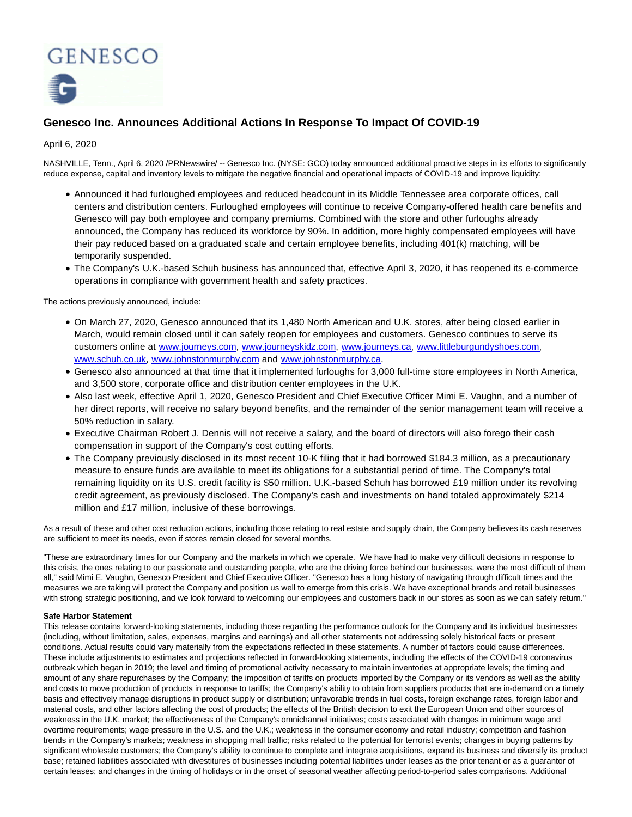

## **Genesco Inc. Announces Additional Actions In Response To Impact Of COVID-19**

April 6, 2020

NASHVILLE, Tenn., April 6, 2020 /PRNewswire/ -- Genesco Inc. (NYSE: GCO) today announced additional proactive steps in its efforts to significantly reduce expense, capital and inventory levels to mitigate the negative financial and operational impacts of COVID-19 and improve liquidity:

- Announced it had furloughed employees and reduced headcount in its Middle Tennessee area corporate offices, call centers and distribution centers. Furloughed employees will continue to receive Company-offered health care benefits and Genesco will pay both employee and company premiums. Combined with the store and other furloughs already announced, the Company has reduced its workforce by 90%. In addition, more highly compensated employees will have their pay reduced based on a graduated scale and certain employee benefits, including 401(k) matching, will be temporarily suspended.
- The Company's U.K.-based Schuh business has announced that, effective April 3, 2020, it has reopened its e-commerce operations in compliance with government health and safety practices.

The actions previously announced, include:

- On March 27, 2020, Genesco announced that its 1,480 North American and U.K. stores, after being closed earlier in March, would remain closed until it can safely reopen for employees and customers. Genesco continues to serve its customers online at [www.journeys.com,](https://c212.net/c/link/?t=0&l=en&o=2769623-1&h=2869438522&u=http%3A%2F%2Fwww.journeys.com%2F&a=www.journeys.com) [www.journeyskidz.com,](https://c212.net/c/link/?t=0&l=en&o=2769623-1&h=1246783853&u=http%3A%2F%2Fwww.journeyskidz.com%2F&a=www.journeyskidz.com) [www.journeys.ca,](https://c212.net/c/link/?t=0&l=en&o=2769623-1&h=2117494714&u=http%3A%2F%2Fwww.journeys.ca%2F&a=www.journeys.ca) [www.littleburgundyshoes.com,](https://c212.net/c/link/?t=0&l=en&o=2769623-1&h=3559931429&u=http%3A%2F%2Fwww.littleburgundyshoes.com%2F&a=www.littleburgundyshoes.com) [www.schuh.co.uk,](https://c212.net/c/link/?t=0&l=en&o=2769623-1&h=578095758&u=http%3A%2F%2Fwww.schuh.co.uk%2F&a=www.schuh.co.uk) [www.johnstonmurphy.com a](https://c212.net/c/link/?t=0&l=en&o=2769623-1&h=4091758141&u=http%3A%2F%2Fwww.johnstonmurphy.com%2F&a=www.johnstonmurphy.com)nd [www.johnstonmurphy.ca.](https://c212.net/c/link/?t=0&l=en&o=2769623-1&h=3916570003&u=http%3A%2F%2Fwww.johnstonmurphy.ca%2F&a=www.johnstonmurphy.ca)
- Genesco also announced at that time that it implemented furloughs for 3,000 full-time store employees in North America, and 3,500 store, corporate office and distribution center employees in the U.K.
- Also last week, effective April 1, 2020, Genesco President and Chief Executive Officer Mimi E. Vaughn, and a number of her direct reports, will receive no salary beyond benefits, and the remainder of the senior management team will receive a 50% reduction in salary.
- Executive Chairman Robert J. Dennis will not receive a salary, and the board of directors will also forego their cash compensation in support of the Company's cost cutting efforts.
- The Company previously disclosed in its most recent 10-K filing that it had borrowed \$184.3 million, as a precautionary measure to ensure funds are available to meet its obligations for a substantial period of time. The Company's total remaining liquidity on its U.S. credit facility is \$50 million. U.K.-based Schuh has borrowed £19 million under its revolving credit agreement, as previously disclosed. The Company's cash and investments on hand totaled approximately \$214 million and £17 million, inclusive of these borrowings.

As a result of these and other cost reduction actions, including those relating to real estate and supply chain, the Company believes its cash reserves are sufficient to meet its needs, even if stores remain closed for several months.

"These are extraordinary times for our Company and the markets in which we operate. We have had to make very difficult decisions in response to this crisis, the ones relating to our passionate and outstanding people, who are the driving force behind our businesses, were the most difficult of them all," said Mimi E. Vaughn, Genesco President and Chief Executive Officer. "Genesco has a long history of navigating through difficult times and the measures we are taking will protect the Company and position us well to emerge from this crisis. We have exceptional brands and retail businesses with strong strategic positioning, and we look forward to welcoming our employees and customers back in our stores as soon as we can safely return."

## **Safe Harbor Statement**

This release contains forward-looking statements, including those regarding the performance outlook for the Company and its individual businesses (including, without limitation, sales, expenses, margins and earnings) and all other statements not addressing solely historical facts or present conditions. Actual results could vary materially from the expectations reflected in these statements. A number of factors could cause differences. These include adjustments to estimates and projections reflected in forward-looking statements, including the effects of the COVID-19 coronavirus outbreak which began in 2019; the level and timing of promotional activity necessary to maintain inventories at appropriate levels; the timing and amount of any share repurchases by the Company; the imposition of tariffs on products imported by the Company or its vendors as well as the ability and costs to move production of products in response to tariffs; the Company's ability to obtain from suppliers products that are in-demand on a timely basis and effectively manage disruptions in product supply or distribution; unfavorable trends in fuel costs, foreign exchange rates, foreign labor and material costs, and other factors affecting the cost of products; the effects of the British decision to exit the European Union and other sources of weakness in the U.K. market; the effectiveness of the Company's omnichannel initiatives; costs associated with changes in minimum wage and overtime requirements; wage pressure in the U.S. and the U.K.; weakness in the consumer economy and retail industry; competition and fashion trends in the Company's markets; weakness in shopping mall traffic; risks related to the potential for terrorist events; changes in buying patterns by significant wholesale customers; the Company's ability to continue to complete and integrate acquisitions, expand its business and diversify its product base; retained liabilities associated with divestitures of businesses including potential liabilities under leases as the prior tenant or as a guarantor of certain leases; and changes in the timing of holidays or in the onset of seasonal weather affecting period-to-period sales comparisons. Additional